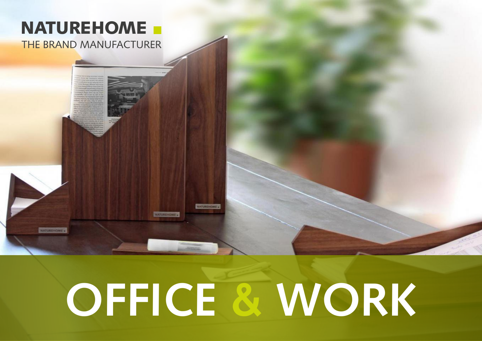### **NATUREHOME**

**THE BRAND MANUFACTURER** 

**NATUREHOME** 

# **OFFICE & WORK**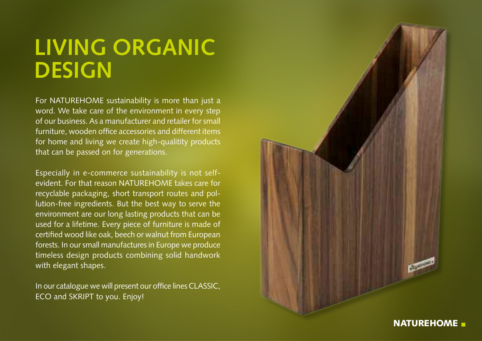## **LIVING ORGANIC DESIGN**

For NATUREHOME sustainability is more than just a word. We take care of the environment in every step of our business. As a manufacturer and retailer for small furniture, wooden office accessories and different items for home and living we create high-qualitity products that can be passed on for generations.

Especially in e-commerce sustainability is not selfevident. For that reason NATUREHOME takes care for recyclable packaging, short transport routes and pol lution-free ingredients. But the best way to serve the environment are our long lasting products that can be used for a lifetime. Every piece of furniture is made of certified wood like oak, beech or walnut from European forests. In our small manufactures in Europe we produce timeless design products combining solid handwork with elegant shapes.

In our catalogue we will present our office lines CLASSIC, ECO and SKRIPT to you. Enjoy!

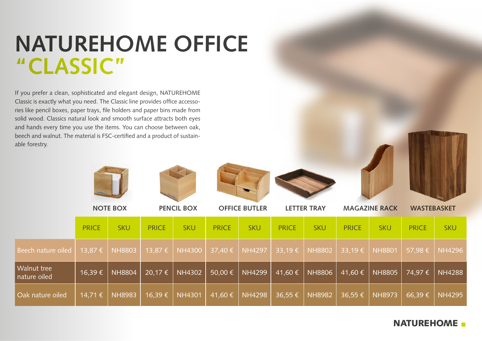#### **NATUREHOME OFFICE "CLASSIC"**

If you prefer a clean, sophisticated and elegant design, NATUREHOME Classic is exactly what you need. The Classic line provides office accessories like pencil boxes, paper trays, file holders and paper bins made from solid wood. Classics natural look and smooth surface attracts both eyes and hands every time you use the items. You can choose between oak, beech and walnut. The material is FSC-certified and a product of sustainable forestry.











|                             | <b>NOTE BOX</b> |               | <b>PENCIL BOX</b> |               | <b>OFFICE BUTLER</b> |                              | <b>LETTER TRAY</b> |               | <b>MAGAZINE RACK</b>     |               | <b>WASTEBASKET</b> |               |
|-----------------------------|-----------------|---------------|-------------------|---------------|----------------------|------------------------------|--------------------|---------------|--------------------------|---------------|--------------------|---------------|
|                             | <b>PRICE</b>    | <b>SKU</b>    | <b>PRICE</b>      | <b>SKU</b>    | <b>PRICE</b>         | <b>SKU</b>                   | <b>PRICE</b>       | <b>SKU</b>    | <b>PRICE</b>             | <b>SKU</b>    | <b>PRICE</b>       | <b>SKU</b>    |
| Beech nature oiled          | 13,87 €         | <b>NH8803</b> | 13,87 €           | <b>NH4300</b> | $37,40 \in$          | <b>NH4297</b>                | 33,19€             | <b>NH8802</b> | $\vert$ 33,19 $\epsilon$ | <b>NH8801</b> | 57,98€             | <b>NH4296</b> |
| Walnut tree<br>nature oiled | 16,39€          | <b>NH8804</b> | 20,17 €           | <b>NH4302</b> | 50,00 €              | $\overline{\textsf{NH4299}}$ | 41,60 €            | NH8806        | 41,60 €                  | <b>NH8805</b> | 74,97€             | <b>NH4288</b> |
| Oak nature oiled            | 14,71 €         | <b>NH8983</b> | 16,39€            | <b>NH4301</b> | 41,60 €              | <b>NH4298</b>                | 36,55 €            | <b>NH8982</b> | $36,55 \in$              | <b>NH8973</b> | 66,39€             | <b>NH4295</b> |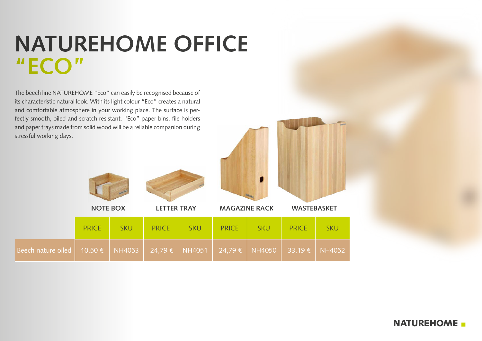#### **NATUREHOME OFFICE "ECO"**

The beech line NATUREHOME "Eco" can easily be recognised because of its characteristic natural look. With its light colour "Eco" creates a natural and comfortable atmosphere in your working place. The surface is perfectly smooth, oiled and scratch resistant. "Eco" paper bins, file holders and paper trays made from solid wood will be a reliable companion during stressful working days.







 **NOTE BOX LETTER TRAY MAGAZINE RACK WASTEBASKET**

|                                                                                                | <b>PRICE</b> | <b>SKU</b> | <b>PRICE</b> | SKU | <b>PRICE</b> | <b>SKU</b> | <b>PRICE</b> | <b>SKU</b> |
|------------------------------------------------------------------------------------------------|--------------|------------|--------------|-----|--------------|------------|--------------|------------|
| Beech nature oiled   10,50 €   NH4053   24,79 €   NH4051   24,79 €   NH4050   33,19 €   NH4052 |              |            |              |     |              |            |              |            |

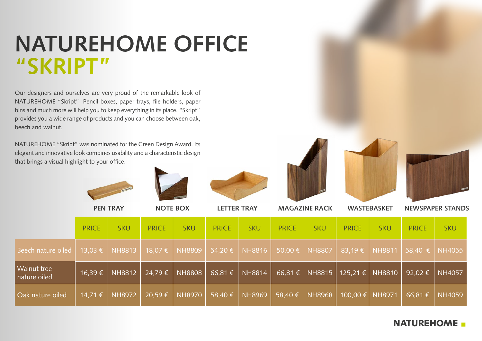### **NATUREHOME OFFICE "SKRIPT"**

Our designers and ourselves are very proud of the remarkable look of NATUREHOME "Skript". Pencil boxes, paper trays, file holders, paper bins and much more will help you to keep everything in its place. "Skript" provides you a wide range of products and you can choose between oak, beech and walnut.

NATUREHOME "Skript" was nominated for the Green Design Award. Its elegant and innovative look combines usability and a characteristic design that brings a visual highlight to your office.











|                             | <b>PEN TRAY</b> |               | <b>NOTE BOX</b> |               | <b>LETTER TRAY</b> |               | <b>MAGAZINE RACK</b> |               | <b>WASTEBASKET</b> |               | <b>NEWSPAPER STANDS</b> |               |
|-----------------------------|-----------------|---------------|-----------------|---------------|--------------------|---------------|----------------------|---------------|--------------------|---------------|-------------------------|---------------|
|                             | <b>PRICE</b>    | <b>SKU</b>    | <b>PRICE</b>    | <b>SKU</b>    | <b>PRICE</b>       | <b>SKU</b>    | <b>PRICE</b>         | <b>SKU</b>    | <b>PRICE</b>       | <b>SKU</b>    | <b>PRICE</b>            | <b>SKU</b>    |
| <b>Beech nature oiled</b>   | $13,03 \in$     | <b>NH8813</b> | 18,07 €         | <b>NH8809</b> | 54,20 €            | <b>NH8816</b> | 50,00 €              | <b>NH8807</b> | 83,19€             | <b>NH8811</b> | $58,40 \in$             | NH4055        |
| Walnut tree<br>nature oiled | $16,39 \in$     | <b>NH8812</b> | 24,79€          | <b>NH8808</b> | 66,81€             | <b>NH8814</b> | $66,81 \t\epsilon$   |               | NH8815   125,21 €  | <b>NH8810</b> | 92,02 $\epsilon$        | NH4057        |
| Oak nature oiled            | 14,71 €         | <b>NH8972</b> | 20,59€          | <b>NH8970</b> | 58,40€             | <b>NH8969</b> | 58,40 €              | <b>NH8968</b> | 100,00 €           | <b>NH8971</b> | 66,81€                  | <b>NH4059</b> |